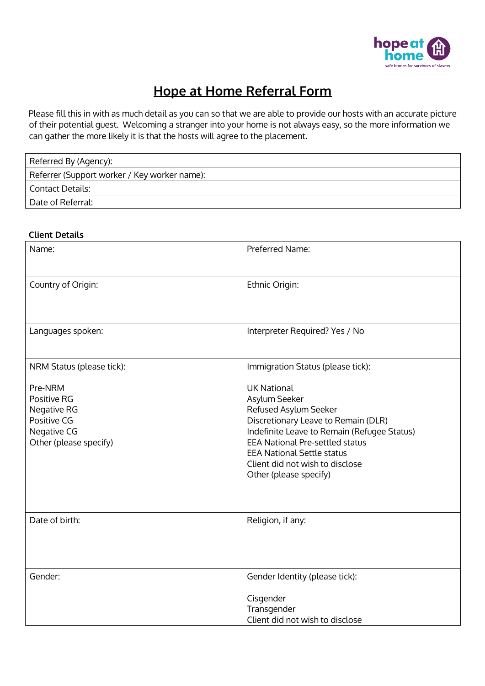

# **Hope at Home Referral Form**

Please fill this in with as much detail as you can so that we are able to provide our hosts with an accurate picture of their potential guest. Welcoming a stranger into your home is not always easy, so the more information we can gather the more likely it is that the hosts will agree to the placement.

| Referred By (Agency):                        |  |
|----------------------------------------------|--|
| Referrer (Support worker / Key worker name): |  |
| Contact Details:                             |  |
| Date of Referral:                            |  |

## **Client Details**

| Name:                                                                                         | Preferred Name:                                                                                                                                                                                                                                                                                |
|-----------------------------------------------------------------------------------------------|------------------------------------------------------------------------------------------------------------------------------------------------------------------------------------------------------------------------------------------------------------------------------------------------|
| Country of Origin:                                                                            | Ethnic Origin:                                                                                                                                                                                                                                                                                 |
| Languages spoken:                                                                             | Interpreter Required? Yes / No                                                                                                                                                                                                                                                                 |
| NRM Status (please tick):                                                                     | Immigration Status (please tick):                                                                                                                                                                                                                                                              |
| Pre-NRM<br>Positive RG<br>Negative RG<br>Positive CG<br>Negative CG<br>Other (please specify) | <b>UK National</b><br>Asylum Seeker<br>Refused Asylum Seeker<br>Discretionary Leave to Remain (DLR)<br>Indefinite Leave to Remain (Refugee Status)<br><b>EEA National Pre-settled status</b><br><b>EEA National Settle status</b><br>Client did not wish to disclose<br>Other (please specify) |
| Date of birth:                                                                                | Religion, if any:                                                                                                                                                                                                                                                                              |
| Gender:                                                                                       | Gender Identity (please tick):<br>Cisgender<br>Transgender<br>Client did not wish to disclose                                                                                                                                                                                                  |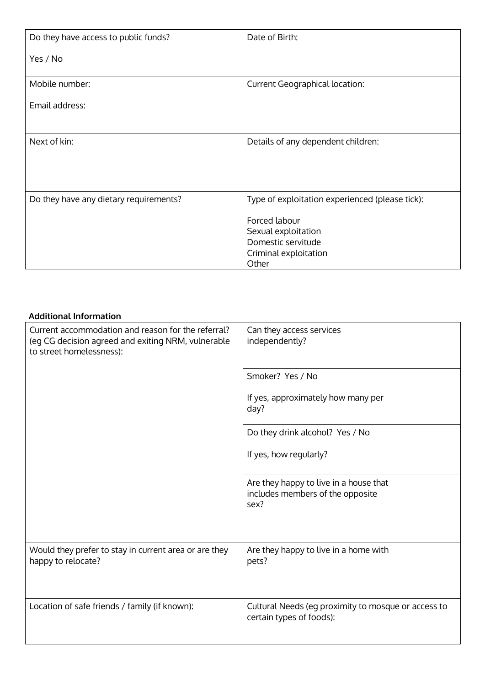| Do they have access to public funds?   | Date of Birth:                                  |
|----------------------------------------|-------------------------------------------------|
| Yes / No                               |                                                 |
| Mobile number:                         | <b>Current Geographical location:</b>           |
| Email address:                         |                                                 |
|                                        |                                                 |
| Next of kin:                           | Details of any dependent children:              |
|                                        |                                                 |
|                                        |                                                 |
| Do they have any dietary requirements? | Type of exploitation experienced (please tick): |
|                                        | Forced labour                                   |
|                                        | Sexual exploitation                             |
|                                        | Domestic servitude                              |
|                                        | Criminal exploitation                           |
|                                        | Other                                           |

### **Additional Information**

| Current accommodation and reason for the referral?<br>(eg CG decision agreed and exiting NRM, vulnerable<br>to street homelessness): | Can they access services<br>independently?                                         |  |
|--------------------------------------------------------------------------------------------------------------------------------------|------------------------------------------------------------------------------------|--|
|                                                                                                                                      | Smoker? Yes / No                                                                   |  |
|                                                                                                                                      | If yes, approximately how many per<br>day?                                         |  |
|                                                                                                                                      | Do they drink alcohol? Yes / No                                                    |  |
|                                                                                                                                      | If yes, how regularly?                                                             |  |
|                                                                                                                                      | Are they happy to live in a house that<br>includes members of the opposite<br>sex? |  |
| Would they prefer to stay in current area or are they<br>happy to relocate?                                                          | Are they happy to live in a home with<br>pets?                                     |  |
| Location of safe friends / family (if known):                                                                                        | Cultural Needs (eg proximity to mosque or access to<br>certain types of foods):    |  |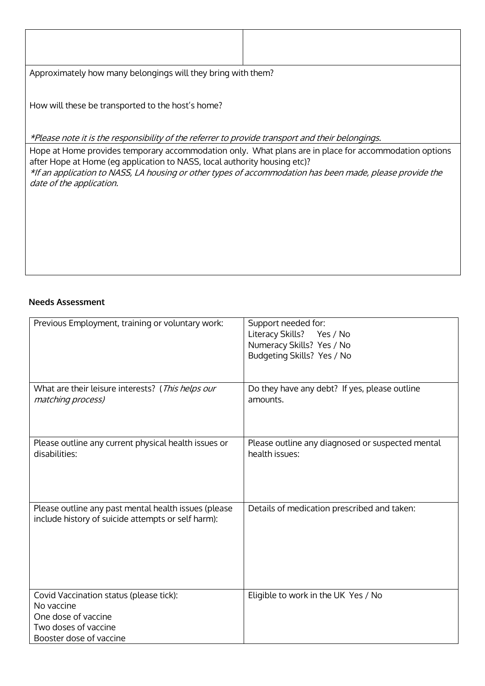Approximately how many belongings will they bring with them?

How will these be transported to the host's home?

\*Please note it is the responsibility of the referrer to provide transport and their belongings.

Hope at Home provides temporary accommodation only. What plans are in place for accommodation options after Hope at Home (eg application to NASS, local authority housing etc)? \*If an application to NASS, LA housing or other types of accommodation has been made, please provide the date of the application.

### **Needs Assessment**

| Previous Employment, training or voluntary work:                                                                                | Support needed for:<br>Literacy Skills?<br>Yes / No<br>Numeracy Skills? Yes / No<br>Budgeting Skills? Yes / No |
|---------------------------------------------------------------------------------------------------------------------------------|----------------------------------------------------------------------------------------------------------------|
| What are their leisure interests? (This helps our<br>matching process)                                                          | Do they have any debt? If yes, please outline<br>amounts.                                                      |
| Please outline any current physical health issues or<br>disabilities:                                                           | Please outline any diagnosed or suspected mental<br>health issues:                                             |
| Please outline any past mental health issues (please<br>include history of suicide attempts or self harm):                      | Details of medication prescribed and taken:                                                                    |
| Covid Vaccination status (please tick):<br>No vaccine<br>One dose of vaccine<br>Two doses of vaccine<br>Booster dose of vaccine | Eligible to work in the UK Yes / No                                                                            |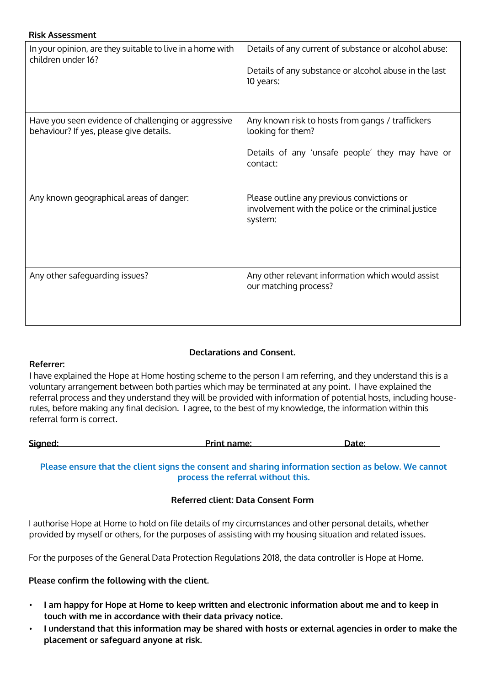| <b>Risk Assessment</b>                                                                         |                                                                                                                                      |
|------------------------------------------------------------------------------------------------|--------------------------------------------------------------------------------------------------------------------------------------|
| In your opinion, are they suitable to live in a home with<br>children under 16?                | Details of any current of substance or alcohol abuse:<br>Details of any substance or alcohol abuse in the last<br>10 years:          |
| Have you seen evidence of challenging or aggressive<br>behaviour? If yes, please give details. | Any known risk to hosts from gangs / traffickers<br>looking for them?<br>Details of any 'unsafe people' they may have or<br>contact: |
| Any known geographical areas of danger:                                                        | Please outline any previous convictions or<br>involvement with the police or the criminal justice<br>system:                         |
| Any other safeguarding issues?                                                                 | Any other relevant information which would assist<br>our matching process?                                                           |

# **Declarations and Consent.**

## **Referrer:**

I have explained the Hope at Home hosting scheme to the person I am referring, and they understand this is a voluntary arrangement between both parties which may be terminated at any point. I have explained the referral process and they understand they will be provided with information of potential hosts, including houserules, before making any final decision. I agree, to the best of my knowledge, the information within this referral form is correct.

| Sianed: | Print name: | Date: |
|---------|-------------|-------|
|         |             |       |
|         |             |       |

## **Please ensure that the client signs the consent and sharing information section as below. We cannot process the referral without this.**

# **Referred client: Data Consent Form**

I authorise Hope at Home to hold on file details of my circumstances and other personal details, whether provided by myself or others, for the purposes of assisting with my housing situation and related issues.

For the purposes of the General Data Protection Regulations 2018, the data controller is Hope at Home.

# **Please confirm the following with the client.**

- **I am happy for Hope at Home to keep written and electronic information about me and to keep in touch with me in accordance with their data privacy notice.**
- **I understand that this information may be shared with hosts or external agencies in order to make the placement or safeguard anyone at risk.**